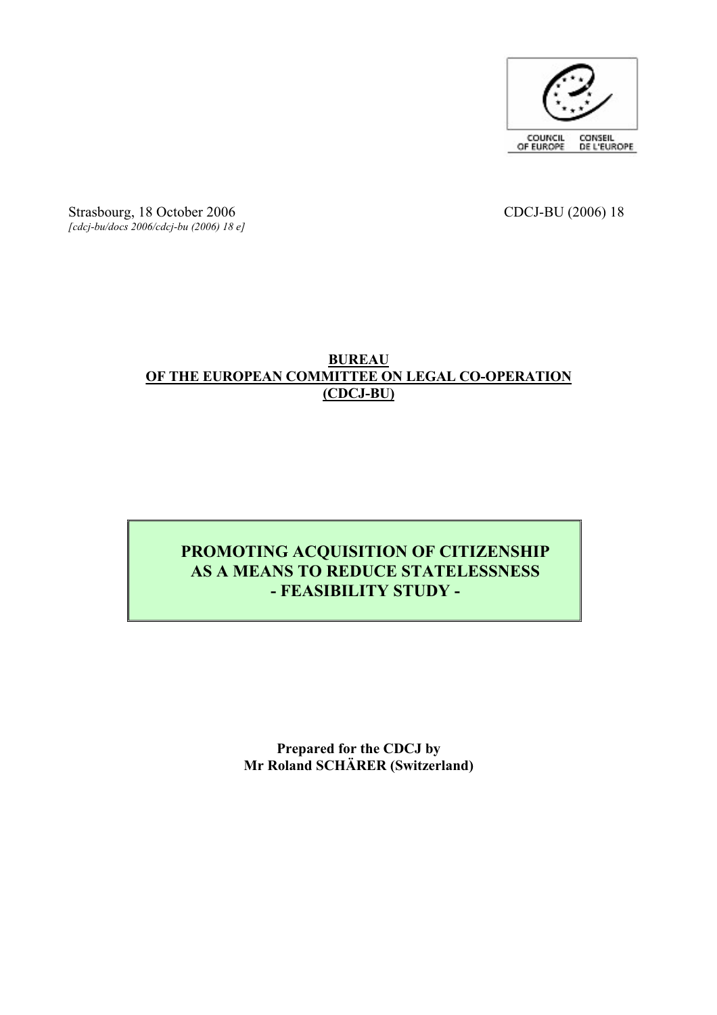

Strasbourg, 18 October 2006 CDCJ-BU (2006) 18 *[cdcj-bu/docs 2006/cdcj-bu (2006) 18 e]*

#### **BUREAU OF THE EUROPEAN COMMITTEE ON LEGAL CO-OPERATION (CDCJ-BU)**

### **PROMOTING ACQUISITION OF CITIZENSHIP AS A MEANS TO REDUCE STATELESSNESS - FEASIBILITY STUDY -**

**Prepared for the CDCJ by Mr Roland SCHÄRER (Switzerland)**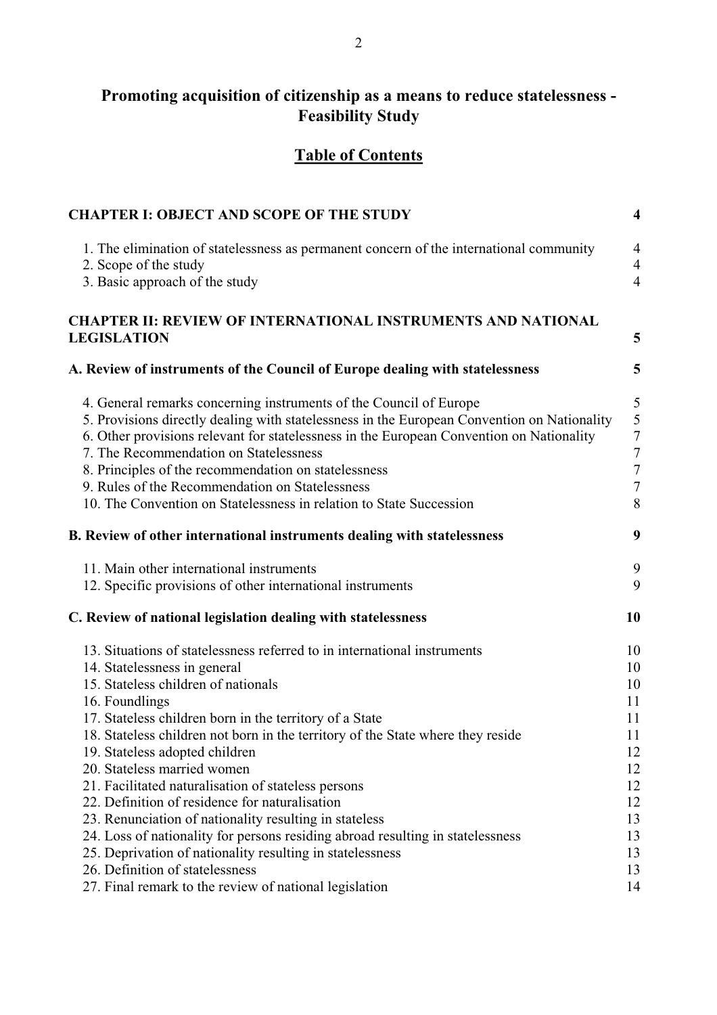# **Promoting acquisition of citizenship as a means to reduce statelessness -**<br>Feasibility Study

### **Table of Contents**

| <b>CHAPTER I: OBJECT AND SCOPE OF THE STUDY</b>                                                                                                                                                                                                                                                                                                                                                                                                                                                                                                                                                                                                                                                    | $\overline{\mathbf{4}}$                                                    |
|----------------------------------------------------------------------------------------------------------------------------------------------------------------------------------------------------------------------------------------------------------------------------------------------------------------------------------------------------------------------------------------------------------------------------------------------------------------------------------------------------------------------------------------------------------------------------------------------------------------------------------------------------------------------------------------------------|----------------------------------------------------------------------------|
| 1. The elimination of statelessness as permanent concern of the international community<br>2. Scope of the study<br>3. Basic approach of the study                                                                                                                                                                                                                                                                                                                                                                                                                                                                                                                                                 | $\overline{4}$<br>$\overline{4}$<br>$\overline{4}$                         |
| <b>CHAPTER II: REVIEW OF INTERNATIONAL INSTRUMENTS AND NATIONAL</b><br><b>LEGISLATION</b>                                                                                                                                                                                                                                                                                                                                                                                                                                                                                                                                                                                                          | 5                                                                          |
| A. Review of instruments of the Council of Europe dealing with statelessness                                                                                                                                                                                                                                                                                                                                                                                                                                                                                                                                                                                                                       | 5                                                                          |
| 4. General remarks concerning instruments of the Council of Europe<br>5. Provisions directly dealing with statelessness in the European Convention on Nationality<br>6. Other provisions relevant for statelessness in the European Convention on Nationality<br>7. The Recommendation on Statelessness<br>8. Principles of the recommendation on statelessness<br>9. Rules of the Recommendation on Statelessness<br>10. The Convention on Statelessness in relation to State Succession                                                                                                                                                                                                          | 5<br>5<br>$\frac{7}{7}$<br>$\overline{7}$<br>$\boldsymbol{7}$<br>8         |
| B. Review of other international instruments dealing with statelessness                                                                                                                                                                                                                                                                                                                                                                                                                                                                                                                                                                                                                            | 9                                                                          |
| 11. Main other international instruments<br>12. Specific provisions of other international instruments                                                                                                                                                                                                                                                                                                                                                                                                                                                                                                                                                                                             | 9<br>9                                                                     |
| C. Review of national legislation dealing with statelessness                                                                                                                                                                                                                                                                                                                                                                                                                                                                                                                                                                                                                                       | 10                                                                         |
| 13. Situations of statelessness referred to in international instruments<br>14. Statelessness in general<br>15. Stateless children of nationals<br>16. Foundlings<br>17. Stateless children born in the territory of a State<br>18. Stateless children not born in the territory of the State where they reside<br>19. Stateless adopted children<br>20. Stateless married women<br>21. Facilitated naturalisation of stateless persons<br>22. Definition of residence for naturalisation<br>23. Renunciation of nationality resulting in stateless<br>24. Loss of nationality for persons residing abroad resulting in statelessness<br>25. Deprivation of nationality resulting in statelessness | 10<br>10<br>10<br>11<br>11<br>11<br>12<br>12<br>12<br>12<br>13<br>13<br>13 |
| 26. Definition of statelessness<br>27. Final remark to the review of national legislation                                                                                                                                                                                                                                                                                                                                                                                                                                                                                                                                                                                                          | 13<br>14                                                                   |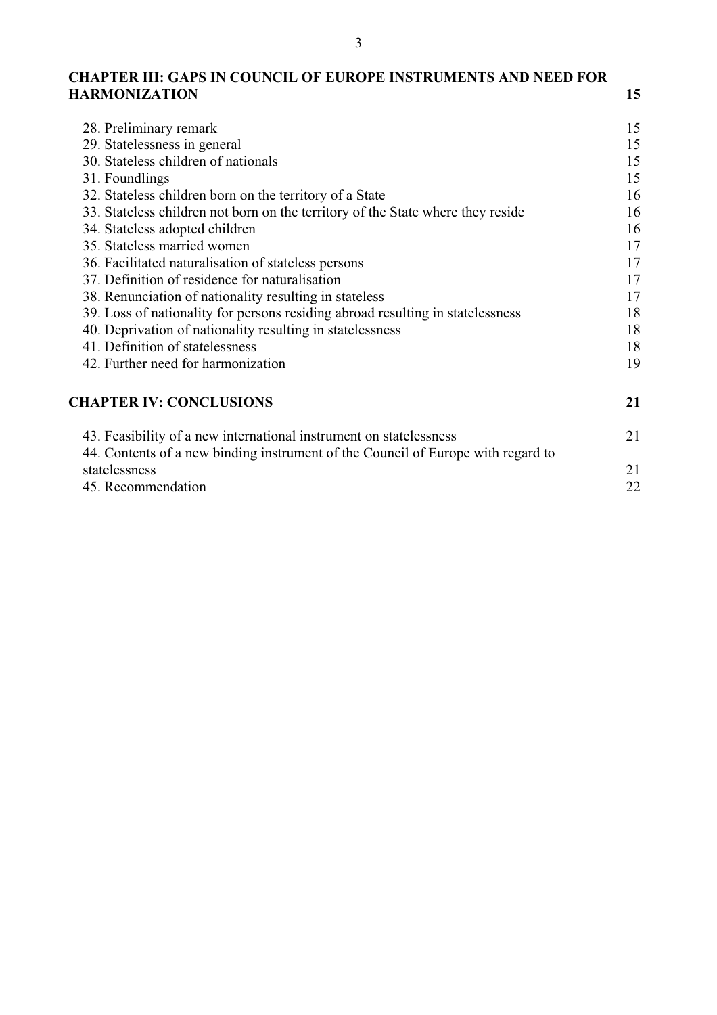### **CHAPTER III: GAPS IN COUNCIL OF EUROPE INSTRUMENTS AND NEED FOR HARMONIZATION <sup>15</sup>**

| 28. Preliminary remark                                                           | 15 |
|----------------------------------------------------------------------------------|----|
| 29. Statelessness in general                                                     | 15 |
| 30. Stateless children of nationals                                              | 15 |
| 31. Foundlings                                                                   | 15 |
| 32. Stateless children born on the territory of a State                          | 16 |
| 33. Stateless children not born on the territory of the State where they reside  | 16 |
| 34. Stateless adopted children                                                   | 16 |
| 35. Stateless married women                                                      | 17 |
| 36. Facilitated naturalisation of stateless persons                              | 17 |
| 37. Definition of residence for naturalisation                                   | 17 |
| 38. Renunciation of nationality resulting in stateless                           | 17 |
| 39. Loss of nationality for persons residing abroad resulting in statelessness   | 18 |
| 40. Deprivation of nationality resulting in statelessness                        | 18 |
| 41. Definition of statelessness                                                  | 18 |
| 42. Further need for harmonization                                               | 19 |
| <b>CHAPTER IV: CONCLUSIONS</b>                                                   | 21 |
| 43. Feasibility of a new international instrument on statelessness               | 21 |
| 44. Contents of a new binding instrument of the Council of Europe with regard to |    |
| statelessness                                                                    | 21 |
| 45. Recommendation                                                               | 22 |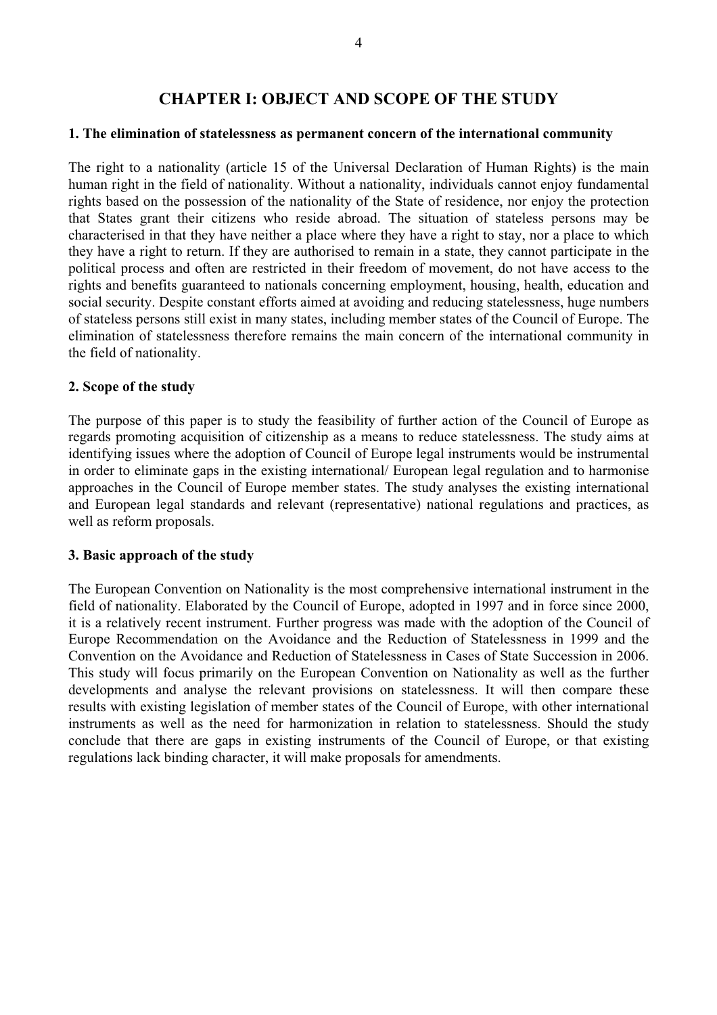#### **CHAPTER I: OBJECT AND SCOPE OF THE STUDY**

#### **1. The elimination of statelessness as permanent concern of the international community**

The right to a nationality (article 15 of the Universal Declaration of Human Rights) is the main human right in the field of nationality. Without a nationality, individuals cannot enjoy fundamental rights based on the possession of the nationality of the State of residence, nor enjoy the protection<br>that States grant their citizens who reside abroad. The situation of stateless persons may be<br>characterised in that they they have a right to return. If they are authorised to remain in a state, they cannot participate in the political process and often are restricted in their freedom of movement, do not have access to the rights and benefits guaranteed to nationals concerning employment, housing, health, education and social security. Despite constant efforts aimed at avoiding and reducing statelessness, huge numbers of stateless persons still exist in many states, including member states of the Council of Europe. The elimination of statelessness therefore remains the main concern of the international community in the field of nationality.

#### **2. Scope of the study**

The purpose of this paper is to study the feasibility of further action of the Council of Europe as regards promoting acquisition of citizenship as a means to reduce statelessness. The study aims at identifying issues wher in order to eliminate gaps in the existing international/ European legal regulation and to harmonise approaches in the Council of Europe member states. The study analyses the existing international and European legal stand

#### **3. Basic approach of the study**

The European Convention on Nationality is the most comprehensive international instrument in the field of nationality. Elaborated by the Council of Europe, adopted in 1997 and in force since 2000, it is a relatively recent Europe Recommendation on the Avoidance and the Reduction of Statelessness in 1999 and the Convention on the Avoidance and Reduction of Statelessness in Cases of State Succession in 2006.<br>This study will focus primarily on developments and analyse the relevant provisions on statelessness. It will then compare these results with existing legislation of member states of the Council of Europe, with other international instruments as well as the need for harmonization in relation to statelessness. Should the study conclude that there are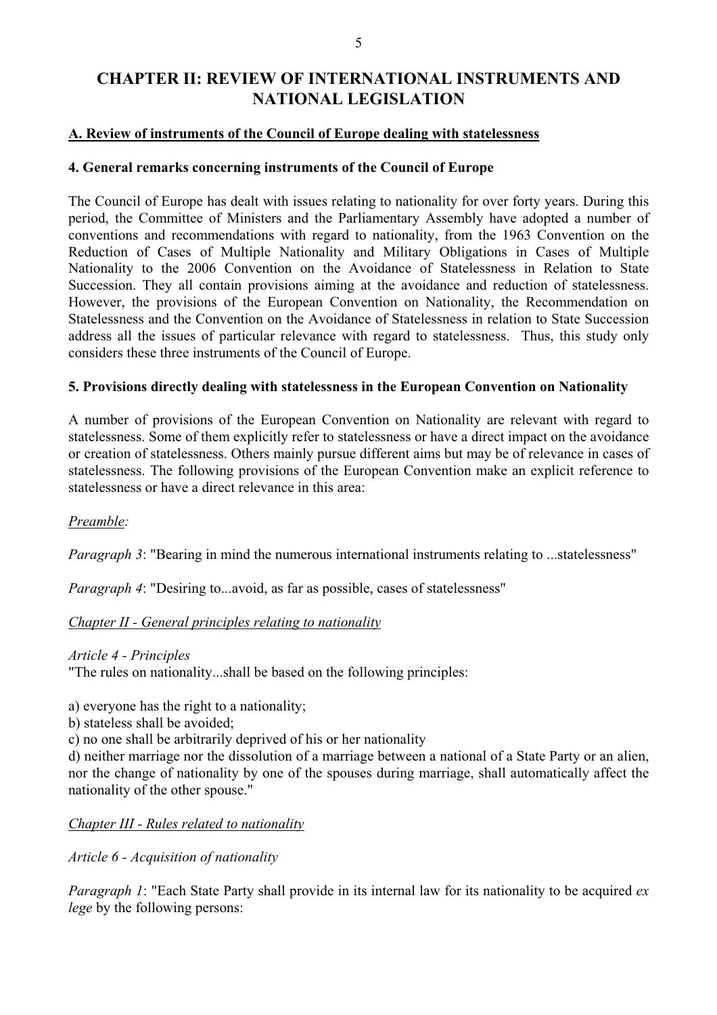## **CHAPTER II: REVIEW OF INTERNATIONAL INSTRUMENTS AND NATIONAL LEGISLATION**

#### **A. Review of instruments of the Council of Europe dealing with statelessness**

#### **4. General remarks concerning instruments of the Council of Europe**

The Council of Europe has dealt with issues relating to nationality for over forty years. During this period, the Committee of Ministers and the Parliamentary Assembly have adopted a number of conventions and recommendations with regard to nationality, from the 1963 Convention on the Reduction of Cases of Multiple Nationality and Military Obligations in Cases of Multiple Nationality to the 2006 Convention on the Avoidance of Statelessness in Relation to State Succession. They all contain provisions aiming at the avoidance and reduction of statelessness.<br>However, the provisions of the European Convention on Nationality, the Recommendation on<br>Statelessness and the Convention on t address all the issues of particular relevance with regard to statelessness. Thus, this study only considers these three instruments of the Council of Europe.

#### **5. Provisions directly dealing with statelessness in the European Convention on Nationality**

A number of provisions of the European Convention on Nationality are relevant with regard to statelessness. Some of them explicitly refer to statelessness or have a direct impact on the avoidance or creation of statelessness. Others mainly pursue different aims but may be of relevance in cases of statelessness. The following provisions of the European Convention make an explicit reference to statelessness or have a direct relevance in this area:

#### *Preamble:*

*Paragraph 3*: "Bearing in mind the numerous international instruments relating to ...statelessness"

*Paragraph 4*: "Desiring to...avoid, as far as possible, cases of statelessness"

#### *Chapter II - General principles relating to nationality*

*Article 4 - Principles*

"The rules on nationality...shall be based on the following principles:

a) everyone has the right to a nationality;

- b) stateless shall be avoided;
- c) no one shall be arbitrarily deprived of his or her nationality

d) neither marriage nor the dissolution of a marriage between a national of a State Party or an alien, nor the change of nationality by one of the spouses during marriage, shall automatically affect the nationality of the other spouse."

#### *Chapter III - Rules related to nationality*

*Article 6 - Acquisition of nationality*

*Paragraph 1*: "Each State Party shall provide in its internal law for its nationality to be acquired *ex lege* by the following persons: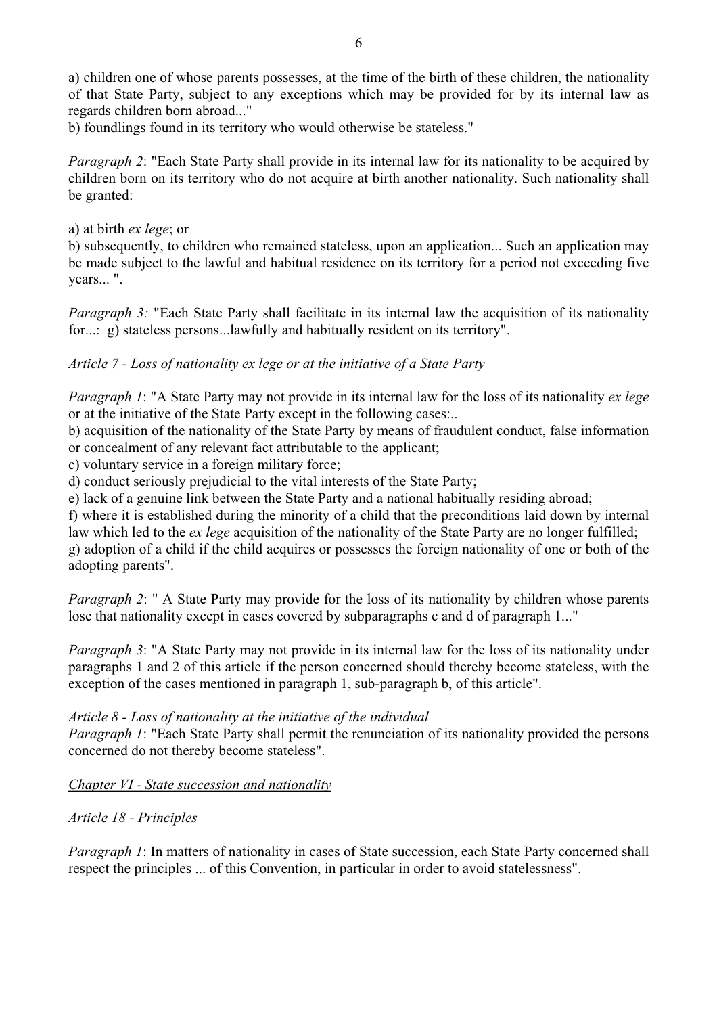a) children one of whose parents possesses, at the time of the birth of these children, the nationality of that State Party, subject to any exceptions which may be provided for by its internal law as regards children born abroad..."

b) foundlings found in its territory who would otherwise be stateless."

*Paragraph 2*: "Each State Party shall provide in its internal law for its nationality to be acquired by children born on its territory who do not acquire at birth another nationality. Such nationality shall be granted:

a) at birth *ex lege*; or

b) subsequently, to children who remained stateless, upon an application... Such an application may be made subject to the lawful and habitual residence on its territory for a period not exceeding five years... ".

*Paragraph 3:* "Each State Party shall facilitate in its internal law the acquisition of its nationality for...: g) stateless persons...lawfully and habitually resident on its territory".

#### *Article 7 - Loss of nationality ex lege or at the initiative of a State Party*

*Paragraph 1*: "A State Party may not provide in its internal law for the loss of its nationality *ex lege* or at the initiative of the State Party except in the following cases:..

b) acquisition of the nationality of the State Party by means of fraudulent conduct, false information or concealment of any relevant fact attributable to the applicant;

c) voluntary service in a foreign military force;

d) conduct seriously prejudicial to the vital interests of the State Party;

e) lack of a genuine link between the State Party and a national habitually residing abroad;

f) where it is established during the minority of a child that the preconditions laid down by internal law which led to the *ex lege* acquisition of the nationality of the State Party are no longer fulfilled; g) adoption of a child if the child acquires or possesses the foreign nationality of one or both of the adopting parents".

*Paragraph 2*: " A State Party may provide for the loss of its nationality by children whose parents lose that nationality except in cases covered by subparagraphs c and d of paragraph 1..."

*Paragraph 3*: "A State Party may not provide in its internal law for the loss of its nationality under paragraphs 1 and 2 of this article if the person concerned should thereby become stateless, with the exception of the cases mentioned in paragraph 1, sub-paragraph b, of this article".

#### *Article 8 - Loss of nationality at the initiative of the individual*

*Paragraph 1*: "Each State Party shall permit the renunciation of its nationality provided the persons concerned do not thereby become stateless".

*Chapter VI - State succession and nationality*

#### *Article 18 - Principles*

*Paragraph 1*: In matters of nationality in cases of State succession, each State Party concerned shall respect the principles ... of this Convention, in particular in order to avoid statelessness".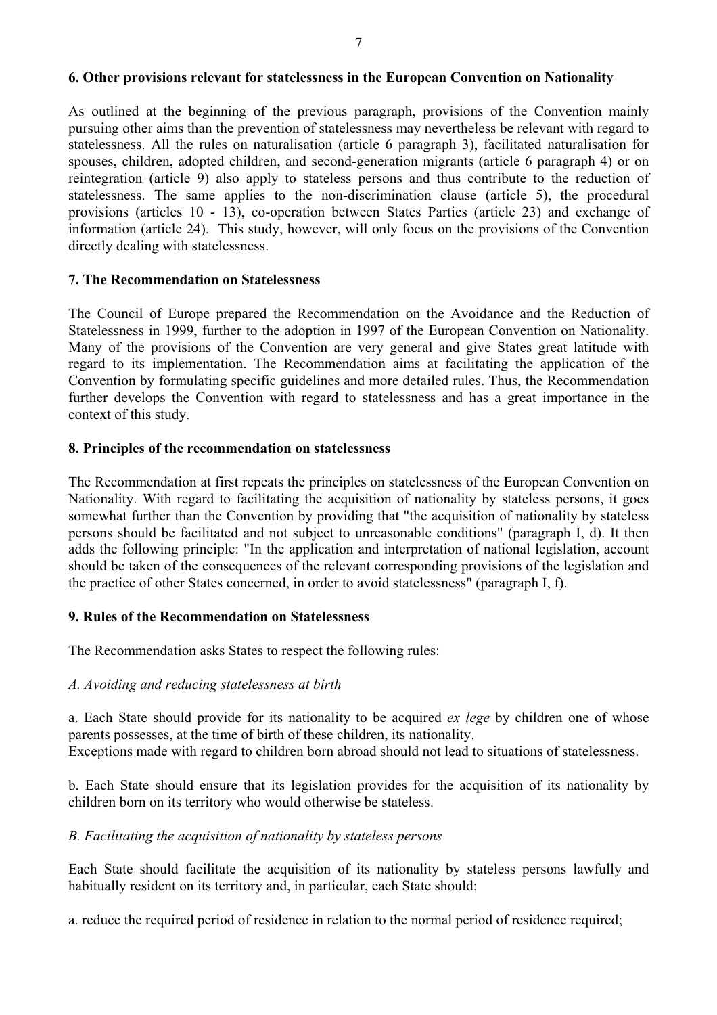#### **6. Other provisions relevant for statelessness in the European Convention on Nationality**

As outlined at the beginning of the previous paragraph, provisions of the Convention mainly pursuing other aims than the prevention of statelessness may nevertheless be relevant with regard to statelessness. All the rules on naturalisation (article 6 paragraph 3), facilitated naturalisation for spouses, children, adopted children, and second-generation migrants (article 6 paragraph 4) or on reintegration (article 9) also apply to stateless persons and thus contribute to the reduction of statelessness. The same applies to the non-discrimination clause (article 5), the procedural provisions (articles  $10 - 13$ ), co-operation between States Parties (article 23) and exchange of information (article 24). This study, however, will only focus on the provisions of the Convention directly dealing with sta

#### **7. The Recommendation on Statelessness**

The Council of Europe prepared the Recommendation on the Avoidance and the Reduction of Statelessness in 1999, further to the adoption in 1997 of the European Convention on Nationality. Many of the provisions of the Convention are very general and give States great latitude with regard to its implementation. The Recommendation aims at facilitating the application of the Convention by formulating specific guidelines and more detailed rules. Thus, the Recommendation further develops the Convention with regard to statelessness and has a great importance in the context of this study.

#### **8. Principles of the recommendation on statelessness**

The Recommendation at first repeats the principles on statelessness of the European Convention on Nationality. With regard to facilitating the acquisition of nationality by stateless persons, it goes somewhat further than adds the following principle: "In the application and interpretation of national legislation, account should be taken of the consequences of the relevant corresponding provisions of the legislation and the practice of other States concerned, in order to avoid statelessness" (paragraph I, f).

#### **9. Rules of the Recommendation on Statelessness**

The Recommendation asks States to respect the following rules:

#### *A. Avoiding and reducing statelessness at birth*

a. Each State should provide for its nationality to be acquired *ex lege* by children one of whose parents possesses, at the time of birth of these children, its nationality.

Exceptions made with regard to children born abroad should not lead to situations of statelessness.<br>b. Each State should ensure that its legislation provides for the acquisition of its nationality by children born on its t

#### *B. Facilitating the acquisition of nationality by stateless persons*

Each State should facilitate the acquisition of its nationality by stateless persons lawfully and habitually resident on its territory and, in particular, each State should:

a. reduce the required period of residence in relation to the normal period of residence required;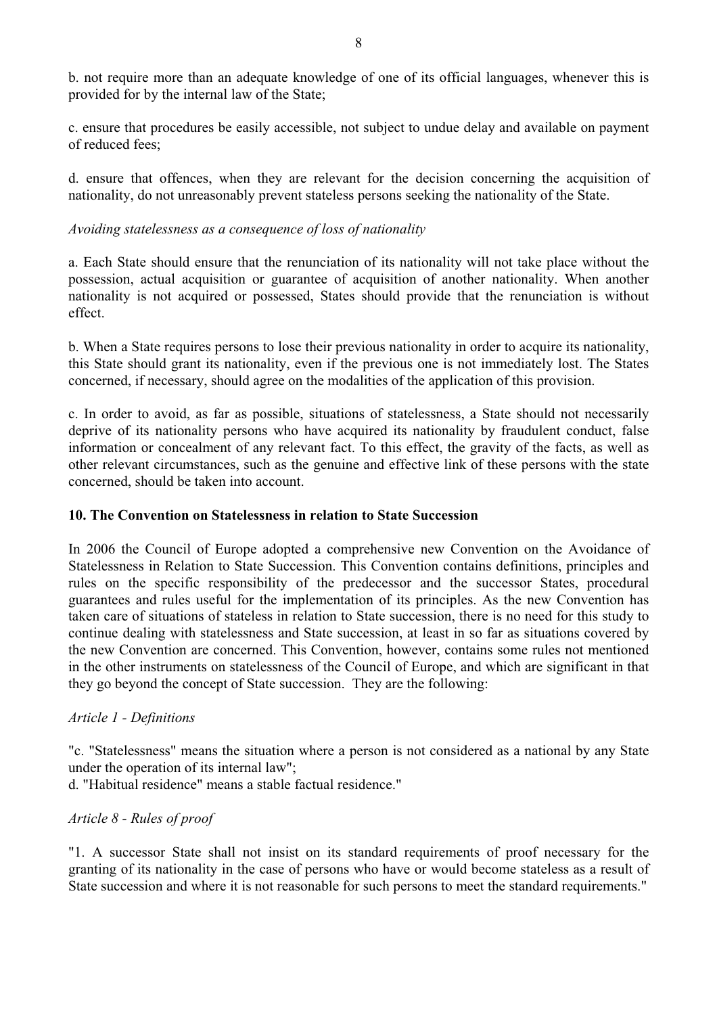b. not require more than an adequate knowledge of one of its official languages, whenever this is provided for by the internal law of the State;

c. ensure that procedures be easily accessible, not subject to undue delay and available on payment of reduced fees;

d. ensure that offences, when they are relevant for the decision concerning the acquisition of nationality, do not unreasonably prevent stateless persons seeking the nationality of the State.

#### *Avoiding statelessness as a consequence of loss of nationality*

a. Each State should ensure that the renunciation of its nationality will not take place without the possession, actual acquisition or guarantee of acquisition of another nationality. When another nationality is not acquired or possessed, States should provide that the renunciation is without

effect.<br>b. When a State requires persons to lose their previous nationality in order to acquire its nationality,<br>this State should grant its nationality, even if the previous one is not immediately lost. The States<br>concern

c. In order to avoid, as far as possible, situations of statelessness, a State should not necessarily deprive of its nationality persons who have acquired its nationality by fraudulent conduct, false<br>information or concealment of any relevant fact. To this effect, the gravity of the facts, as well as<br>other relevant circums concerned, should be taken into account.

#### **10. The Convention on Statelessness in relation to State Succession**

In 2006 the Council of Europe adopted a comprehensive new Convention on the Avoidance of Statelessness in Relation to State Succession. This Convention contains definitions, principles and rules on the specific responsibility of the predecessor and the successor States, procedural guarantees and rules useful for the implementation of its principles. As the new Convention has taken care of situations of stateless in relation to State succession, there is no need for this study to continue dealing with statelessness and State succession, at least in so far as situations covered by the new Convention are concerned. This Convention, however, contains some rules not mentioned in the other instruments o

#### *Article 1 - Definitions*

"c. "Statelessness" means the situation where a person is not considered as a national by any State under the operation of its internal law";

d. "Habitual residence" means a stable factual residence."

#### *Article 8 - Rules of proof*

"1. A successor State shall not insist on its standard requirements of proof necessary for the granting of its nationality in the case of persons who have or would become stateless as a result of State succession and where it is not reasonable for such persons to meet the standard requirements."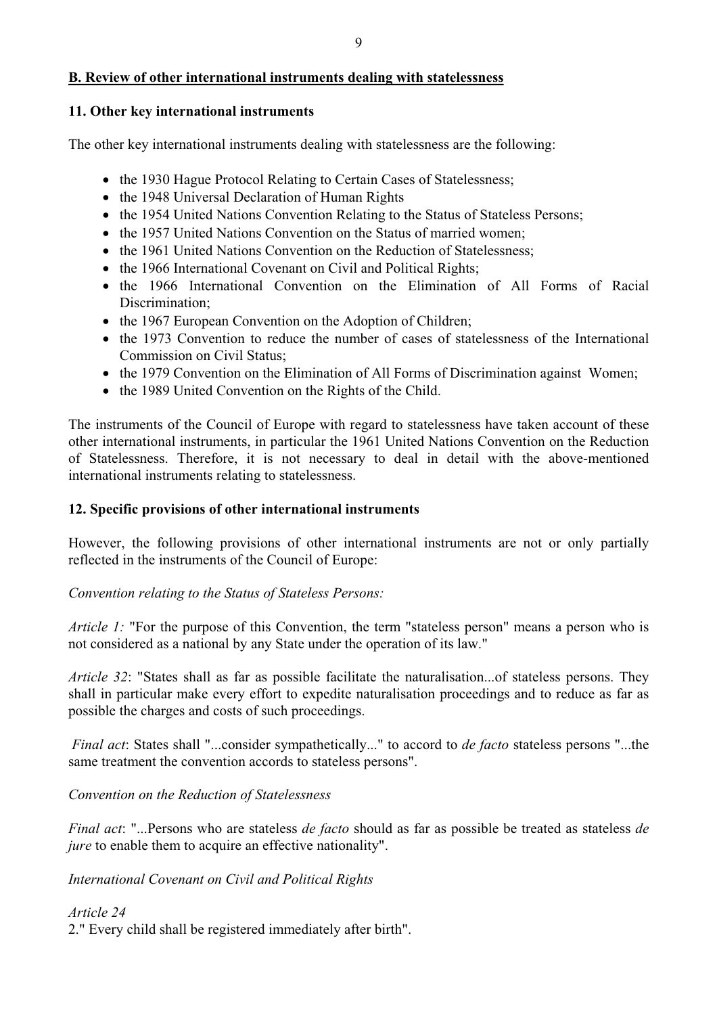#### **B. Review of other international instruments dealing with statelessness**

#### **11. Other key international instruments**

The other key international instruments dealing with statelessness are the following:

- the 1930 Hague Protocol Relating to Certain Cases of Statelessness;
- the 1948 Universal Declaration of Human Rights
- the 1954 United Nations Convention Relating to the Status of Stateless Persons;
- the 1957 United Nations Convention on the Status of married women:
- the 1961 United Nations Convention on the Reduction of Statelessness:
- the 1966 International Covenant on Civil and Political Rights;
- the 1966 International Convention on the Elimination of All Forms of Racial Discrimination;
- the 1967 European Convention on the Adoption of Children;
- the 1973 Convention to reduce the number of cases of statelessness of the International Commission on Civil Status;
- the 1979 Convention on the Elimination of All Forms of Discrimination against Women;
- 

• the 1989 United Convention on the Rights of the Child.<br>The instruments of the Council of Europe with regard to statelessness have taken account of these<br>other international instruments, in particular the 1961 United Nati

#### **12. Specific provisions of other international instruments**

However, the following provisions of other international instruments are not or only partially reflected in the instruments of the Council of Europe:

*Convention relating to the Status of Stateless Persons:*

*Article 1:* "For the purpose of this Convention, the term "stateless person" means a person who is not considered as a national by any State under the operation of its law."

*Article 32*: "States shall as far as possible facilitate the naturalisation...of stateless persons. They shall in particular make every effort to expedite naturalisation proceedings and to reduce as far as possible the charges and costs of such proceedings.

*Final act*: States shall "...consider sympathetically..." to accord to *de facto* stateless persons "...the same treatment the convention accords to stateless persons".

*Convention on the Reduction of Statelessness*

*Final act*: "...Persons who are stateless *de facto* should as far as possible be treated as stateless *de jure* to enable them to acquire an effective nationality".

*International Covenant on Civil and Political Rights*

*Article 24* 2." Every child shall be registered immediately after birth".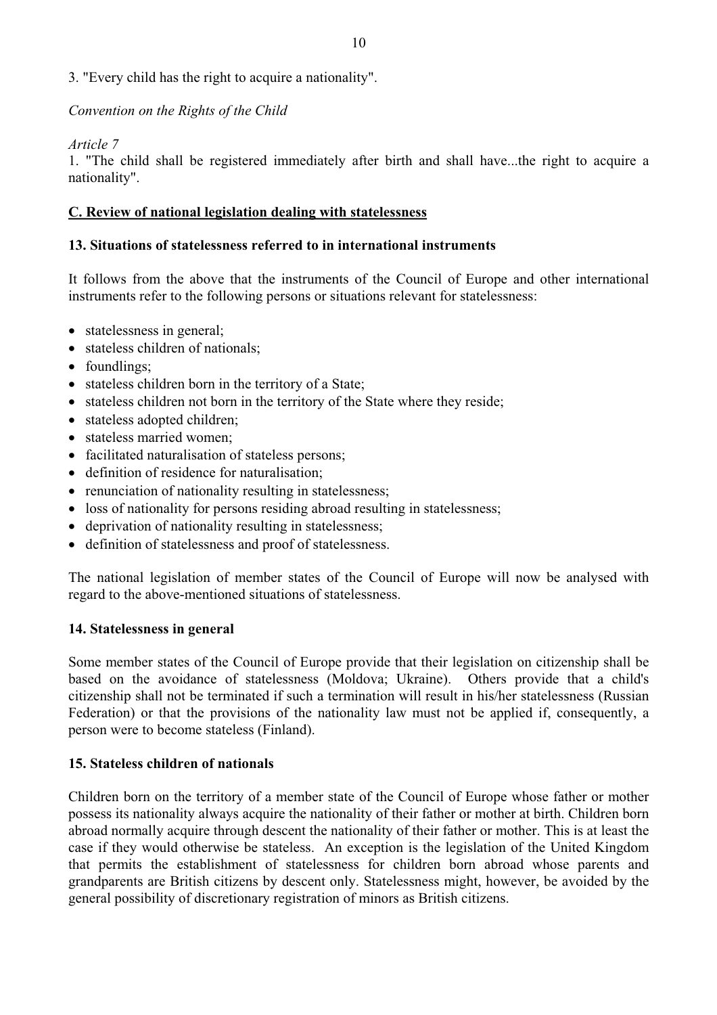#### 3. "Every child has the right to acquire a nationality".

#### *Convention on the Rights of the Child*

*Article 7*

1. "The child shall be registered immediately after birth and shall have...the right to acquire a nationality".

# **C. Review of national legislation dealing with statelessness 13. Situations of statelessness referred to in international instruments**

It follows from the above that the instruments of the Council of Europe and other international instruments refer to the following persons or situations relevant for statelessness:

- statelessness in general;
- stateless children of nationals;
- foundlings;
- stateless children born in the territory of a State;
- stateless children not born in the territory of the State where they reside;
- stateless adopted children:
- stateless married women:
- facilitated naturalisation of stateless persons;
- definition of residence for naturalisation;
- renunciation of nationality resulting in statelessness;
- loss of nationality for persons residing abroad resulting in statelessness;
- deprivation of nationality resulting in statelessness;
- definition of statelessness and proof of statelessness.

The national legislation of member states of the Council of Europe will now be analysed with regard to the above-mentioned situations of statelessness.

#### **14. Statelessness in general**

Some member states of the Council of Europe provide that their legislation on citizenship shall be Some member states of the Council of Europe provide that their legislation on citizenship shall be based on the avoidance of statelessness (Moldova; Ukraine). Others provide that a child's citizenship shall not be terminated if such a termination will result in his/her statelessness (Russian Federation) or that the provisions of the nationality law must not be applied if, consequently, a person were to becom

#### **15. Stateless children of nationals**

Children born on the territory of a member state of the Council of Europe whose father or mother possess its nationality always acquire the nationality of their father or mother at birth. Children born<br>abroad normally acquire through descent the nationality of their father or mother. This is at least the<br>case if they that permits the establishment of statelessness for children born abroad whose parents and grandparents are British citizens by descent only. Statelessness might, however, be avoided by the general possibility of discretionary registration of minors as British citizens.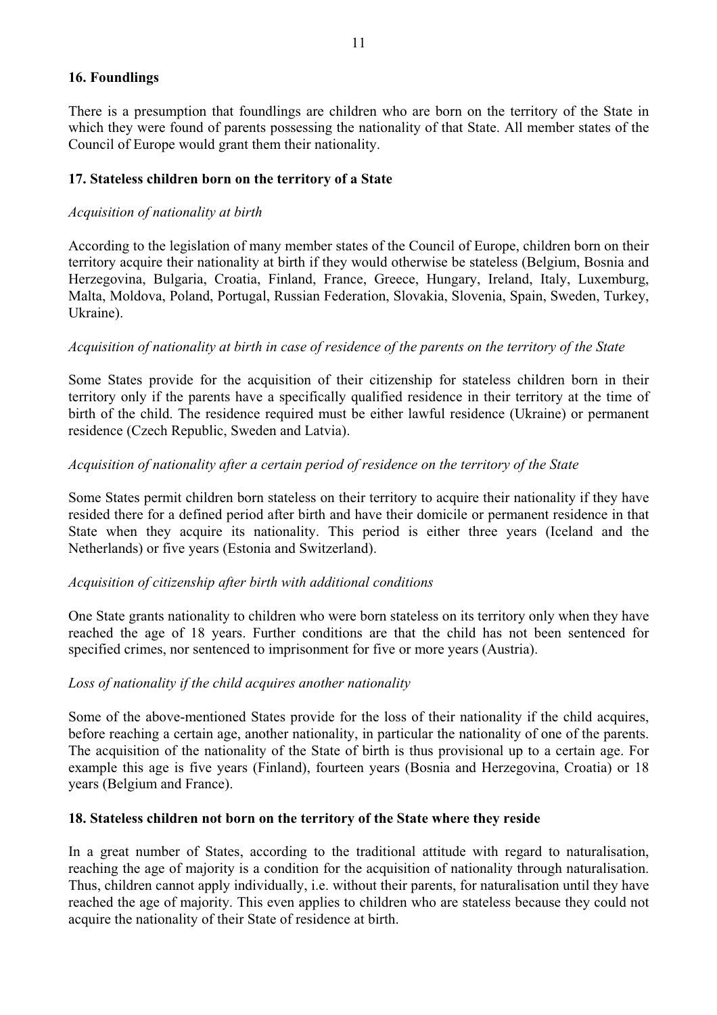#### **16. Foundlings**

There is a presumption that foundlings are children who are born on the territory of the State in which they were found of parents possessing the nationality of that State. All member states of the Council of Europe would grant them their nationality.

#### **17. Stateless children born on the territory of a State**

#### *Acquisition of nationality at birth*

According to the legislation of many member states of the Council of Europe, children born on their territory acquire their nationality at birth if they would otherwise be stateless (Belgium, Bosnia and Herzegovina, Bulgar

#### *Acquisition of nationality at birth in case of residence of the parents on the territory of the State*

Some States provide for the acquisition of their citizenship for stateless children born in their territory only if the parents have a specifically qualified residence in their territory at the time of birth of the child. The residence required must be either lawful residence (Ukraine) or permanent residence (Czech Republic, Sweden and Latvia).

#### *Acquisition of nationality after a certain period of residence on the territory of the State*

Some States permit children born stateless on their territory to acquire their nationality if they have resided there for a defined period after birth and have their domicile or permanent residence in that State when they

#### *Acquisition of citizenship after birth with additional conditions*

One State grants nationality to children who were born stateless on its territory only when they have reached the age of 18 years. Further conditions are that the child has not been sentenced for specified crimes, nor sentenced to imprisonment for five or more years (Austria).

#### *Loss of nationality if the child acquires another nationality*

Some of the above-mentioned States provide for the loss of their nationality if the child acquires, before reaching a certain age, another nationality, in particular the nationality of one of the parents. The acquisition of the nationality of the State of birth is thus provisional up to a certain age. For example this age is five years (Finland), fourteen years (Bosnia and Herzegovina, Croatia) or 18 years (Belgium and France).

#### **18. Stateless children not born on the territory of the State where they reside**

In a great number of States, according to the traditional attitude with regard to naturalisation, reaching the age of majority is a condition for the acquisition of nationality through naturalisation.<br>Thus, children cannot reached the age of majority. This even applies to children who are stateless because they could not acquire the nationality of their State of residence at birth.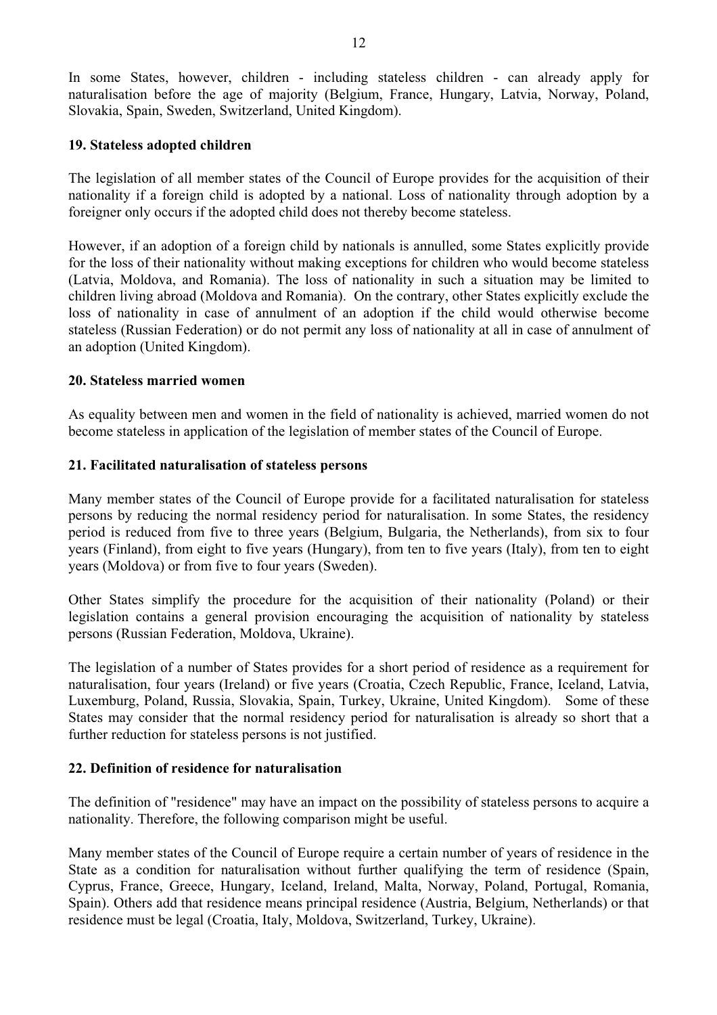In some States, however, children - including stateless children - can already apply for naturalisation before the age of majority (Belgium, France, Hungary, Latvia, Norway, Poland, Slovakia, Spain, Sweden, Switzerland, United Kingdom).

#### **19. Stateless adopted children**

The legislation of all member states of the Council of Europe provides for the acquisition of their nationality if a foreign child is adopted by a national. Loss of nationality through adoption by a foreigner only occurs i

However, if an adoption of a foreign child by nationals is annulled, some States explicitly provide for the loss of their nationality without making exceptions for children who would become stateless (Latvia, Moldova, and Romania). The loss of nationality in such a situation may be limited to children living abroad (Moldova and Romania). On the contrary, other States explicitly exclude the loss of nationality in case of annulment of an adoption if the child would otherwise become stateless (Russian Federation) or do not permit any loss of nationality at all in case of annulment of an adoption (United Kingdom).

#### **20. Stateless married women**

As equality between men and women in the field of nationality is achieved, married women do not become stateless in application of the legislation of member states of the Council of Europe.

#### **21. Facilitated naturalisation of stateless persons**

Many member states of the Council of Europe provide for a facilitated naturalisation for stateless persons by reducing the normal residency period for naturalisation. In some States, the residency period is reduced from five to three years (Belgium, Bulgaria, the Netherlands), from six to four years (Finland), from eight to five years (Hungary), from ten to five years (Italy), from ten to eight

years (Moldova) or from five to four years (Sweden).<br>Other States simplify the procedure for the acquisition of their nationality (Poland) or their<br>legislation contains a general provision encouraging the acquisition of na

The legislation of a number of States provides for a short period of residence as a requirement for naturalisation, four years (Ireland) or five years (Croatia, Czech Republic, France, Iceland, Latvia, Luxemburg, Poland, Russia, Slovakia, Spain, Turkey, Ukraine, United Kingdom). Some of these States may consider that the further reduction for stateless persons is not justified.

#### **22. Definition of residence for naturalisation**

The definition of "residence" may have an impact on the possibility of stateless persons to acquire a nationality. Therefore, the following comparison might be useful. Many member states of the Council of Europe require a certain number of years of residence in the

State as a condition for naturalisation without further qualifying the term of residence (Spain, Cyprus, France, Greece, Hungary, Iceland, Ireland, Malta, Norway, Poland, Portugal, Romania, Spain). Others add that residence means principal residence (Austria, Belgium, Netherlands) or that residence must be legal (Croatia, Italy, Moldova, Switzerland, Turkey, Ukraine).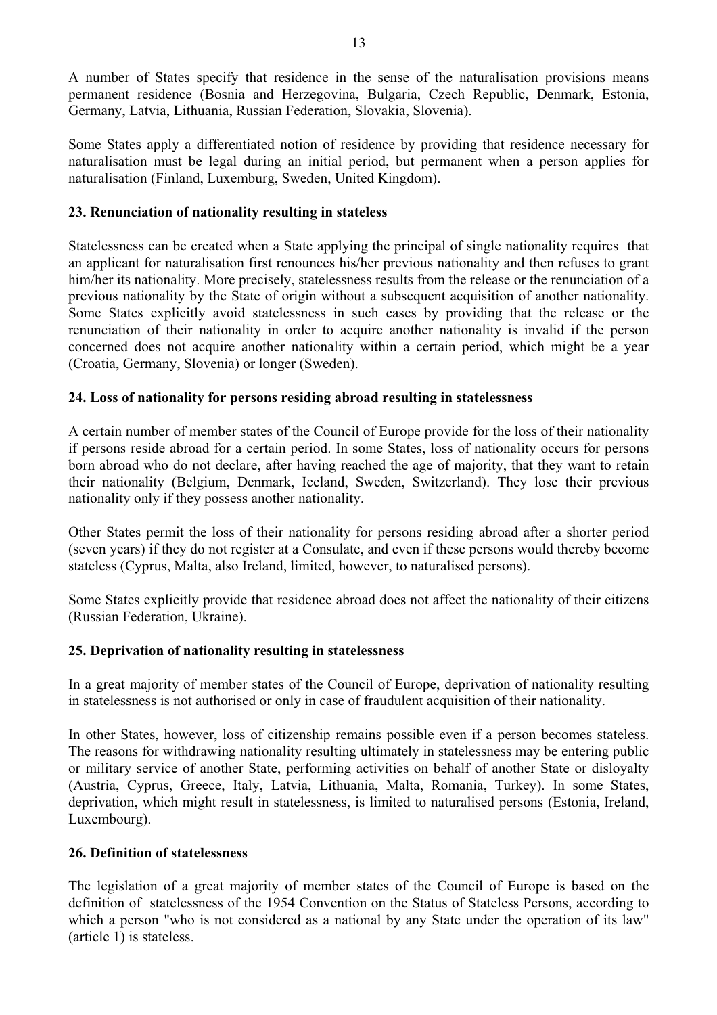A number of States specify that residence in the sense of the naturalisation provisions means permanent residence (Bosnia and Herzegovina, Bulgaria, Czech Republic, Denmark, Estonia,

Germany, Latvia, Lithuania, Russian Federation, Slovakia, Slovenia). Some States apply a differentiated notion of residence by providing that residence necessary for naturalisation must be legal during an initial period, but permanent when a person applies for naturalisation (Finland, Luxemburg, Sweden, United Kingdom).

#### **23. Renunciation of nationality resulting in stateless**

Statelessness can be created when a State applying the principal of single nationality requires that an applicant for naturalisation first renounces his/her previous nationality and then refuses to grant him/her its nationality. More precisely, statelessness results from the release or the renunciation of a previous nationality by the State of origin without a subsequent acquisition of another nationality. Some States explicitly avoid statelessness in such cases by providing that the release or the renunciation of their nationality in order to acquire another nationality is invalid if the person concerned does not acquire another nationality within a certain period, which might be a year (Croatia, Germany, Slovenia) or longer (Sweden).

#### **24. Loss of nationality for persons residing abroad resulting in statelessness**

A certain number of member states of the Council of Europe provide for the loss of their nationality if persons reside abroad for a certain period. In some States, loss of nationality occurs for persons born abroad who do not declare, after having reached the age of majority, that they want to retain their nationality (Belgium, Denmark, Iceland, Sweden, Switzerland). They lose their previous nationality only if they possess another nationality.

Other States permit the loss of their nationality for persons residing abroad after a shorter period (seven years) if they do not register at a Consulate, and even if these persons would thereby become

stateless (Cyprus, Malta, also Ireland, limited, however, to naturalised persons). Some States explicitly provide that residence abroad does not affect the nationality of their citizens (Russian Federation, Ukraine).

#### **25. Deprivation of nationality resulting in statelessness**

In a great majority of member states of the Council of Europe, deprivation of nationality resulting<br>in statelessness is not authorised or only in case of fraudulent acquisition of their nationality.<br>In other States, howeve

or military service of another State, performing activities on behalf of another State or disloyalty (Austria, Cyprus, Greece, Italy, Latvia, Lithuania, Malta, Romania, Turkey). In some States, deprivation, which might result in statelessness, is limited to naturalised persons (Estonia, Ireland, Luxembourg).

#### **26. Definition of statelessness**

The legislation of a great majority of member states of the Council of Europe is based on the definition of statelessness of the 1954 Convention on the Status of Stateless Persons, according to which a person "who is not considered as a national by any State under the operation of its law" (article 1) is stateless.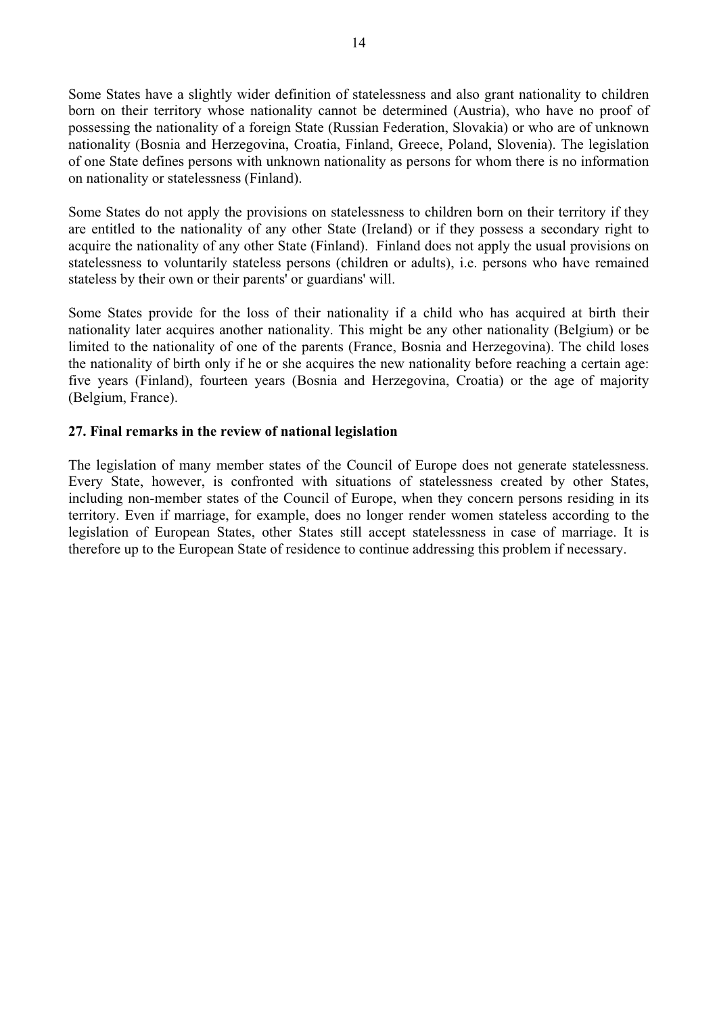Some States have a slightly wider definition of statelessness and also grant nationality to children<br>born on their territory whose nationality cannot be determined (Austria), who have no proof of<br>possessing the nationality

are entitled to the nationality of any other State (Ireland) or if they possess a secondary right to acquire the nationality of any other State (Finland). Finland does not apply the usual provisions on statelessness to vol

Some States provide for the loss of their nationality if a child who has acquired at birth their nationality later acquires another nationality. This might be any other nationality (Belgium) or be limited to the nationality of one of the parents (France, Bosnia and Herzegovina). The child loses<br>the nationality of birth only if he or she acquires the new nationality before reaching a certain age:<br>five years (Finland) (Belgium, France).

#### **27. Final remarks in the review of national legislation**

The legislation of many member states of the Council of Europe does not generate statelessness. Every State, however, is confronted with situations of statelessness created by other States, including non-member states of the Council of Europe, when they concern persons residing in its territory. Even if marriage, for example, does no longer render women stateless according to the legislation of European States, other States still accept statelessness in case of marriage. It is therefore up to the European State of residence to continue addressing this problem if necessary.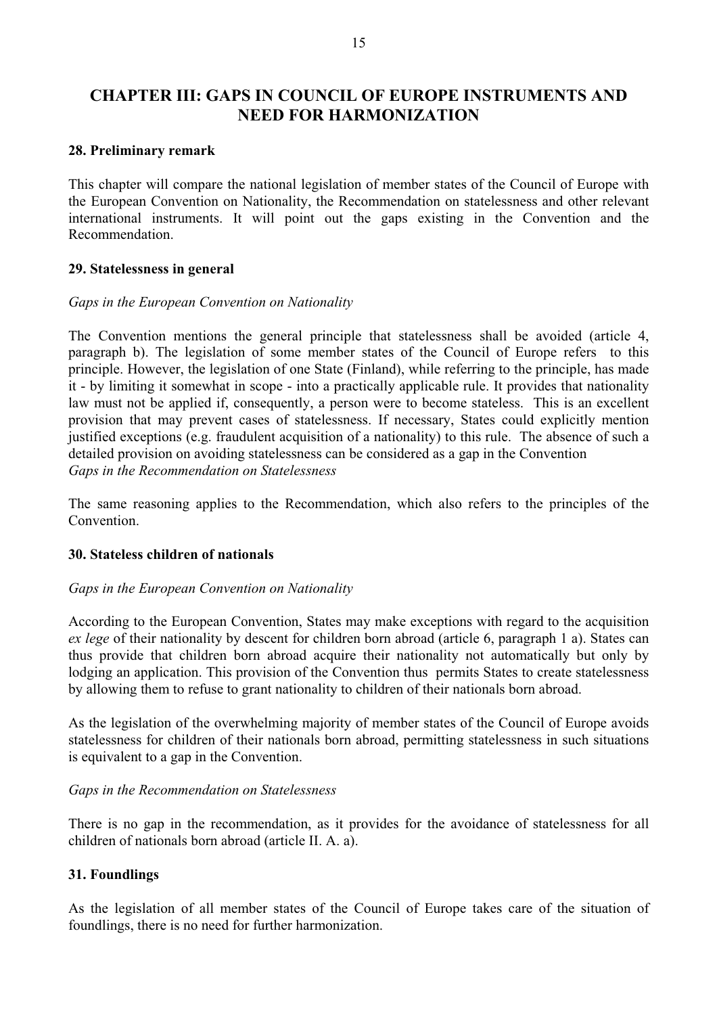### **CHAPTER III: GAPS IN COUNCIL OF EUROPE INSTRUMENTS AND NEED FOR HARMONIZATION**

#### **28. Preliminary remark**

This chapter will compare the national legislation of member states of the Council of Europe with the European Convention on Nationality, the Recommendation on statelessness and other relevant international instruments. It will point out the gaps existing in the Convention and the Recommendation.

#### **29. Statelessness in general**

#### *Gaps in the European Convention on Nationality*

The Convention mentions the general principle that statelessness shall be avoided (article 4, paragraph b). The legislation of some member states of the Council of Europe refers to this principle. However, the legislation of one State (Finland), while referring to the principle, has made it - by limiting it somewhat in scope - into a practically applicable rule. It provides that nationality law must not be applied if, consequently, a person were to become stateless. This is an excellent provision that may prevent cases of statelessness. If necessary, States could explicitly mention<br>justified exceptions (e.g. fraudulent acquisition of a nationality) to this rule. The absence of such a<br>detailed provision on *Gaps in the Recommendation on Statelessness*

The same reasoning applies to the Recommendation, which also refers to the principles of the Convention.

#### **30. Stateless children of nationals**

#### *Gaps in the European Convention on Nationality*

According to the European Convention, States may make exceptions with regard to the acquisition *ex lege* of their nationality by descent for children born abroad (article 6, paragraph 1 a). States can thus provide that children born abroad acquire their nationality not automatically but only by lodging an application. This provision of the Convention thus permits States to create statelessness by allowing them to refuse

statelessness for children of their nationals born abroad, permitting statelessness in such situations is equivalent to a gap in the Convention.

#### *Gaps in the Recommendation on Statelessness*

There is no gap in the recommendation, as it provides for the avoidance of statelessness for all children of nationals born abroad (article II. A. a).

#### **31. Foundlings**

As the legislation of all member states of the Council of Europe takes care of the situation of foundlings, there is no need for further harmonization.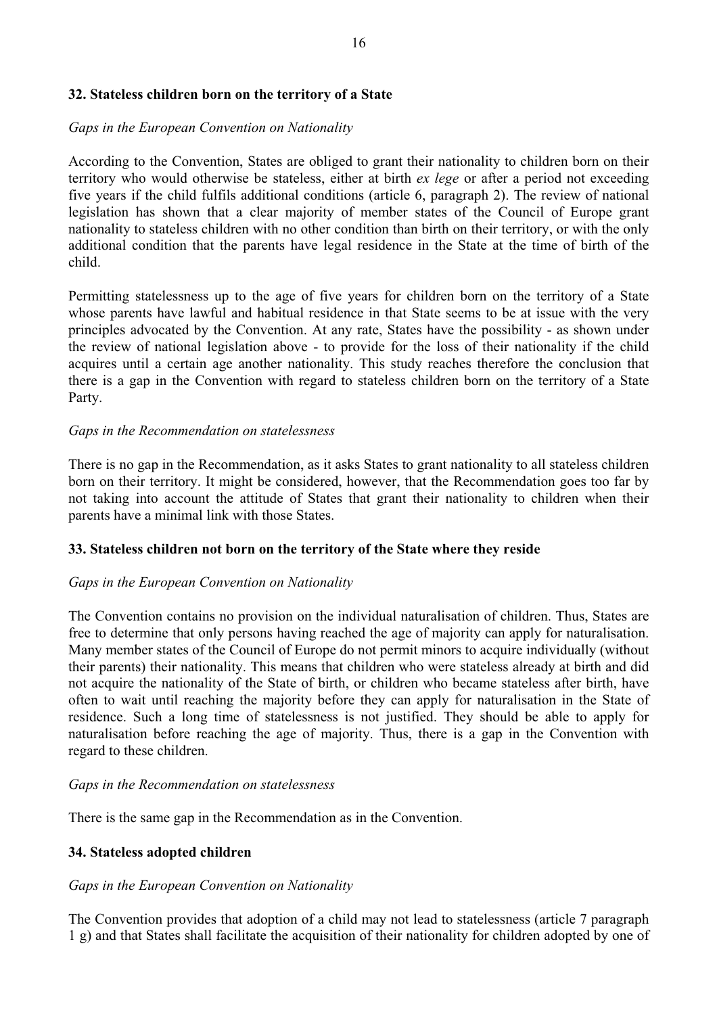#### **32. Stateless children born on the territory of a State**

#### *Gaps in the European Convention on Nationality*

According to the Convention, States are obliged to grant their nationality to children born on their<br>territory who would otherwise be stateless, either at birth *ex lege* or after a period not exceeding<br>five years if the c

nationality to stateless children with no other condition than birth on their territory, or with the only additional condition that the parents have legal residence in the State at the time of birth of the child.<br>Permittin acquires until a certain age another nationality. This study reaches therefore the conclusion that there is a gap in the Convention with regard to stateless children born on the territory of a State Party.

#### *Gaps in the Recommendation on statelessness*

There is no gap in the Recommendation, as it asks States to grant nationality to all stateless children born on their territory. It might be considered, however, that the Recommendation goes too far by not taking into account the attitude of States that grant their nationality to children when their parents have a minimal li

#### **33. Stateless children not born on the territory of the State where they reside**

#### *Gaps in the European Convention on Nationality*

The Convention contains no provision on the individual naturalisation of children. Thus, States are free to determine that only persons having reached the age of majority can apply for naturalisation.<br>Many member states of their parents) their nationality. This means that children who were stateless already at birth and did not acquire the nationality of the State of birth, or children who became stateless after birth, have often to wait until reaching the majority before they can apply for naturalisation in the State of residence. Such a long time of statelessness is not justified. They should be able to apply for naturalisation before reach regard to these children.

#### *Gaps in the Recommendation on statelessness*

There is the same gap in the Recommendation as in the Convention.

#### **34. Stateless adopted children**

#### *Gaps in the European Convention on Nationality*

The Convention provides that adoption of a child may not lead to statelessness (article 7 paragraph 1 g) and that States shall facilitate the acquisition of their nationality for children adopted by one of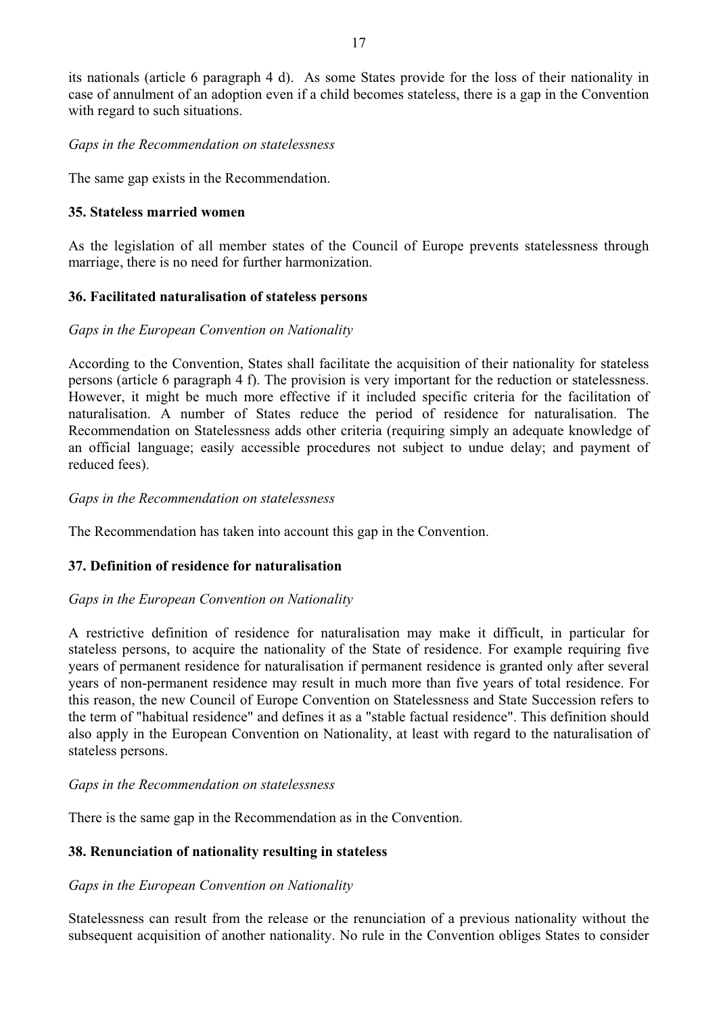its nationals (article 6 paragraph 4 d). As some States provide for the loss of their nationality in case of annulment of an adoption even if a child becomes stateless, there is a gap in the Convention with regard to such

#### *Gaps in the Recommendation on statelessness*

The same gap exists in the Recommendation.

#### **35. Stateless married women**

As the legislation of all member states of the Council of Europe prevents statelessness through marriage, there is no need for further harmonization.

#### **36. Facilitated naturalisation of stateless persons**

#### *Gaps in the European Convention on Nationality*

According to the Convention, States shall facilitate the acquisition of their nationality for stateless<br>persons (article 6 paragraph 4 f). The provision is very important for the reduction or statelessness.<br>However, it mig naturalisation. A number of States reduce the period of residence for naturalisation. The Recommendation on Statelessness adds other criteria (requiring simply an adequate knowledge of an official language; easily accessib reduced fees).

#### *Gaps in the Recommendation on statelessness*

The Recommendation has taken into account this gap in the Convention.

#### **37. Definition of residence for naturalisation**

#### *Gaps in the European Convention on Nationality*

A restrictive definition of residence for naturalisation may make it difficult, in particular for stateless persons, to acquire the nationality of the State of residence. For example requiring five years of permanent residence for naturalisation if permanent residence is granted only after several years of non-permanent residence may result in much more than five years of total residence. For this reason, the new Council of Europe Convention on Statelessness and State Succession refers to the term of "habitual residence" and defines it as a "stable factual residence". This definition should also apply in the European Convention on Nationality, at least with regard to the naturalisation of stateless persons.

#### *Gaps in the Recommendation on statelessness*

There is the same gap in the Recommendation as in the Convention.

#### **38. Renunciation of nationality resulting in stateless**

#### *Gaps in the European Convention on Nationality*

Statelessness can result from the release or the renunciation of a previous nationality without the subsequent acquisition of another nationality. No rule in the Convention obliges States to consider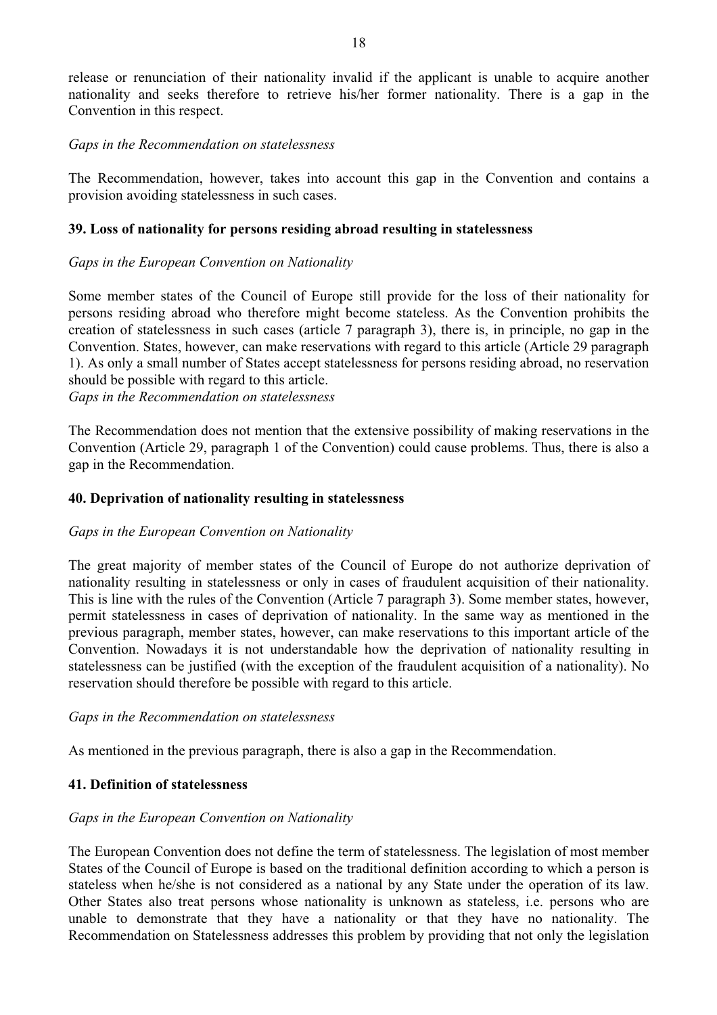release or renunciation of their nationality invalid if the applicant is unable to acquire another nationality and seeks therefore to retrieve his/her former nationality. There is a gap in the Convention in this respect.

#### *Gaps in the Recommendation on statelessness*

The Recommendation, however, takes into account this gap in the Convention and contains a provision avoiding statelessness in such cases.

#### **39. Loss of nationality for persons residing abroad resulting in statelessness**

#### *Gaps in the European Convention on Nationality*

Some member states of the Council of Europe still provide for the loss of their nationality for persons residing abroad who therefore might become stateless. As the Convention prohibits the creation of statelessness in such cases (article 7 paragraph 3), there is, in principle, no gap in the Convention. States, however, can make reservations with regard to this article (Article 29 paragraph 1). As only a small number of States accept statelessness for persons residing abroad, no reservation should be possible

*Gaps in the Recommendation on statelessness*

The Recommendation does not mention that the extensive possibility of making reservations in the Convention (Article 29, paragraph 1 of the Convention) could cause problems. Thus, there is also a gap in the Recommendation.

#### **40. Deprivation of nationality resulting in statelessness**

#### *Gaps in the European Convention on Nationality*

The great majority of member states of the Council of Europe do not authorize deprivation of nationality resulting in statelessness or only in cases of fraudulent acquisition of their nationality.<br>This is line with the rules of the Convention (Article 7 paragraph 3). Some member states, however, permit statelessne previous paragraph, member states, however, can make reservations to this important article of the Convention. Nowadays it is not understandable how the deprivation of nationality resulting in statelessness can be justified (with the exception of the fraudulent acquisition of a nationality). No reservation should therefore be possible with regard to this article.

#### *Gaps in the Recommendation on statelessness*

As mentioned in the previous paragraph, there is also a gap in the Recommendation.

#### **41. Definition of statelessness**

#### *Gaps in the European Convention on Nationality*

The European Convention does not define the term of statelessness. The legislation of most member States of the Council of Europe is based on the traditional definition according to which a person is stateless when he/she is not considered as a national by any State under the operation of its law.<br>Other States also treat persons whose nationality is unknown as stateless, i.e. persons who are unable to demonstrate that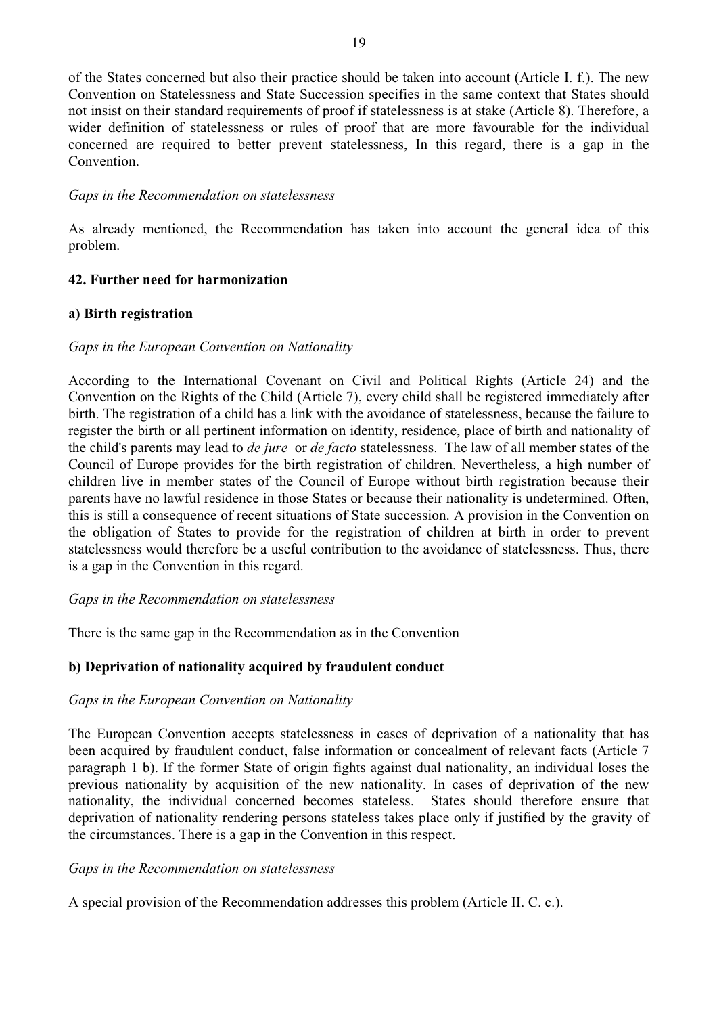of the States concerned but also their practice should be taken into account (Article I. f.). The new Convention on Statelessness and State Succession specifies in the same context that States should<br>not insist on their standard requirements of proof if statelessness is at stake (Article 8). Therefore, a<br>wider definition o

#### *Gaps in the Recommendation on statelessness*

As already mentioned, the Recommendation has taken into account the general idea of this problem.

#### **42. Further need for harmonization**

#### **a) Birth registration**

#### *Gaps in the European Convention on Nationality*

According to the International Covenant on Civil and Political Rights (Article 24) and the Convention on the Rights of the Child (Article 7), every child shall be registered immediately after birth. The registration of a Council of Europe provides for the birth registration of children. Nevertheless, a high number of children live in member states of the Council of Europe without birth registration because their<br>parents have no lawful residence in those States or because their nationality is undetermined. Often,<br>this is still a consequ statelessness would therefore be a useful contribution to the avoidance of statelessness. Thus, there is a gap in the Convention in this regard.

#### *Gaps in the Recommendation on statelessness*

There is the same gap in the Recommendation as in the Convention

#### **b) Deprivation of nationality acquired by fraudulent conduct**

#### *Gaps in the European Convention on Nationality*

The European Convention accepts statelessness in cases of deprivation of a nationality that has been acquired by fraudulent conduct, false information or concealment of relevant facts (Article 7 paragraph 1 b). If the former State of origin fights against dual nationality, an individual loses the previous nationality by acquisition of the new nationality. In cases of deprivation of the new nationality, the individual concerned becomes stateless. States should therefore ensure that deprivation of nationality rendering persons stateless takes place only if justified by the gravity of the circumstances. There i

#### *Gaps in the Recommendation on statelessness*

A special provision of the Recommendation addresses this problem (Article II. C. c.).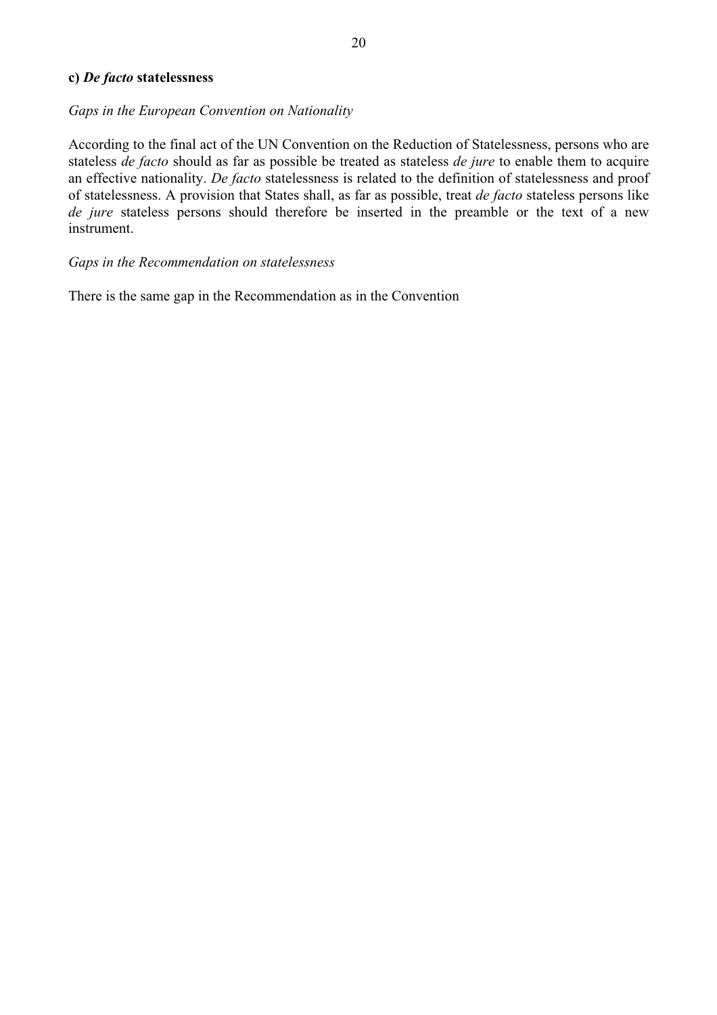#### **c)** *De facto* **statelessness**

#### *Gaps in the European Convention on Nationality*

According to the final act of the UN Convention on the Reduction of Statelessness, persons who are stateless *de facto* should as far as possible be treated as stateless *de jure* to enable them to acquire an effective nationality. *De facto* statelessness is related to the definition of statelessness and proof of statelessness. A provision that States shall, as far as possible, treat *de facto* stateless persons like *de jure* stateless persons should therefore be inserted in the preamble or the text of a new instrument.

#### *Gaps in the Recommendation on statelessness*

There is the same gap in the Recommendation as in the Convention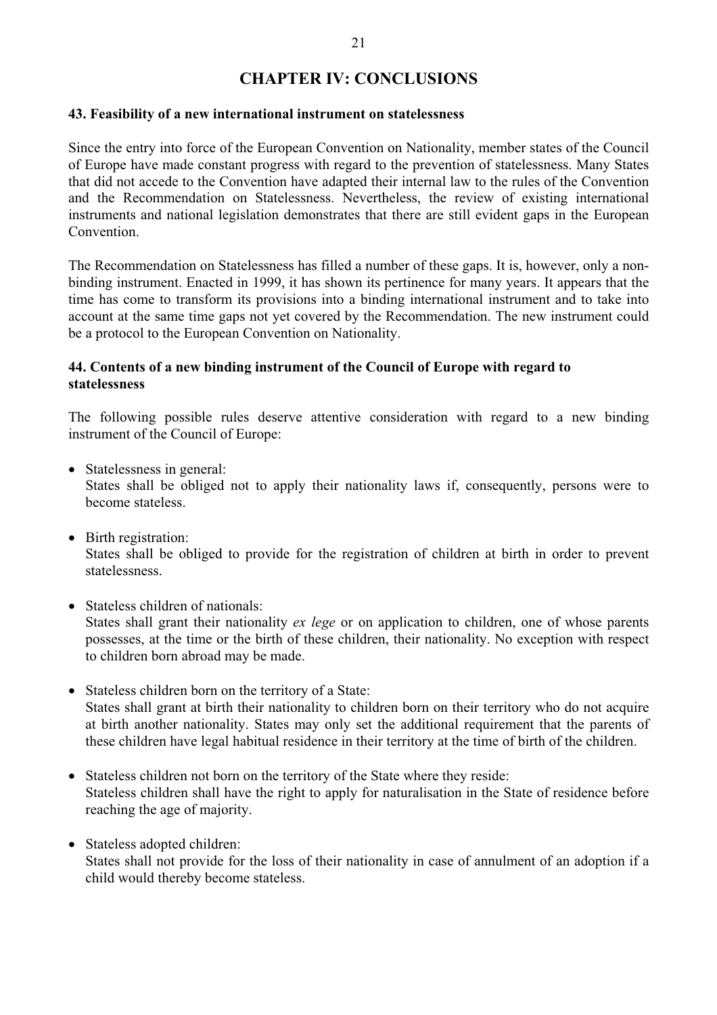#### **CHAPTER IV: CONCLUSIONS**

#### **43. Feasibility of a new international instrument on statelessness**

Since the entry into force of the European Convention on Nationality, member states of the Council<br>of Europe have made constant progress with regard to the prevention of statelessness. Many States<br>that did not accede to th Convention.<br>The Recommendation on Statelessness has filled a number of these gaps. It is, however, only a non-

binding instrument. Enacted in 1999, it has shown its pertinence for many years. It appears that the time has come to transform its provisions into a binding international instrument and to take into account at the same time gaps not yet covered by the Recommendation. The new instrument could be a protocol to the European Convention on Nationality.

#### **44. Contents of a new binding instrument of the Council of Europe with regard to statelessness**

The following possible rules deserve attentive consideration with regard to a new binding instrument of the Council of Europe:

- Statelessness in general: States shall be obliged not to apply their nationality laws if, consequently, persons were to become stateless.
- Birth registration: States shall be obliged to provide for the registration of children at birth in order to prevent statelessness.
- Stateless children of nationals:

States shall grant their nationality *ex lege* or on application to children, one of whose parents possesses, at the time or the birth of these children, their nationality. No exception with respect to children born abroad may be made.

- Stateless children born on the territory of a State: States shall grant at birth their nationality to children born on their territory who do not acquire at birth another nationality. States may only set the additional requirement that the parents of these children have legal habitual residence in their territory at the time of birth of the children.
- Stateless children not born on the territory of the State where they reside: Stateless children shall have the right to apply for naturalisation in the State of residence before reaching the age of majority.
- Stateless adopted children:

States shall not provide for the loss of their nationality in case of annulment of an adoption if a child would thereby become stateless.